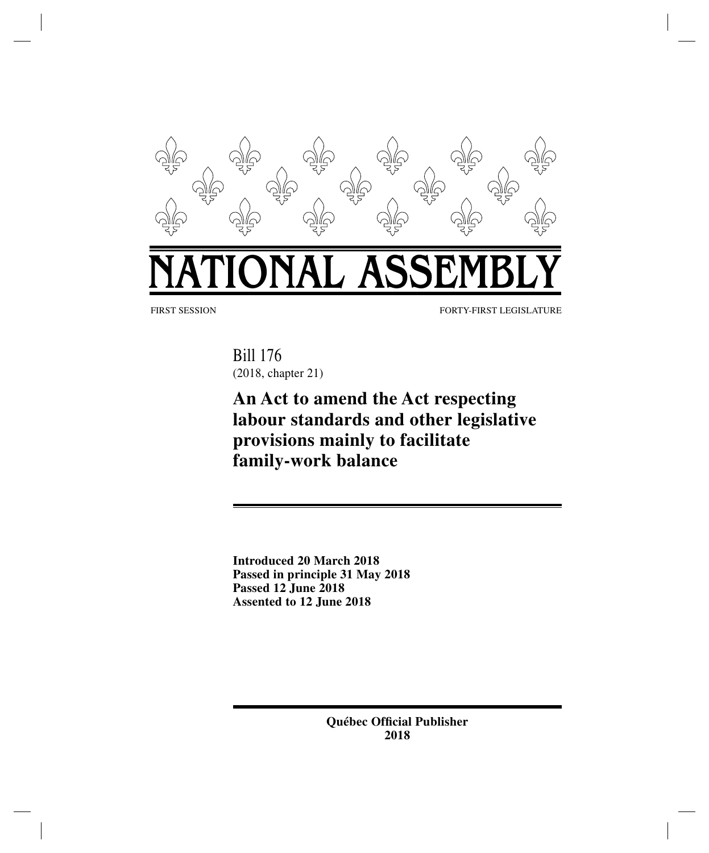

FIRST SESSION FORTY-FIRST LEGISLATURE

Bill 176 (2018, chapter 21)

# **An Act to amend the Act respecting labour standards and other legislative provisions mainly to facilitate family-work balance**

**Introduced 20 March 2018 Passed in principle 31 May 2018 Passed 12 June 2018 Assented to 12 June 2018**

> **Québec Official Publisher 2018**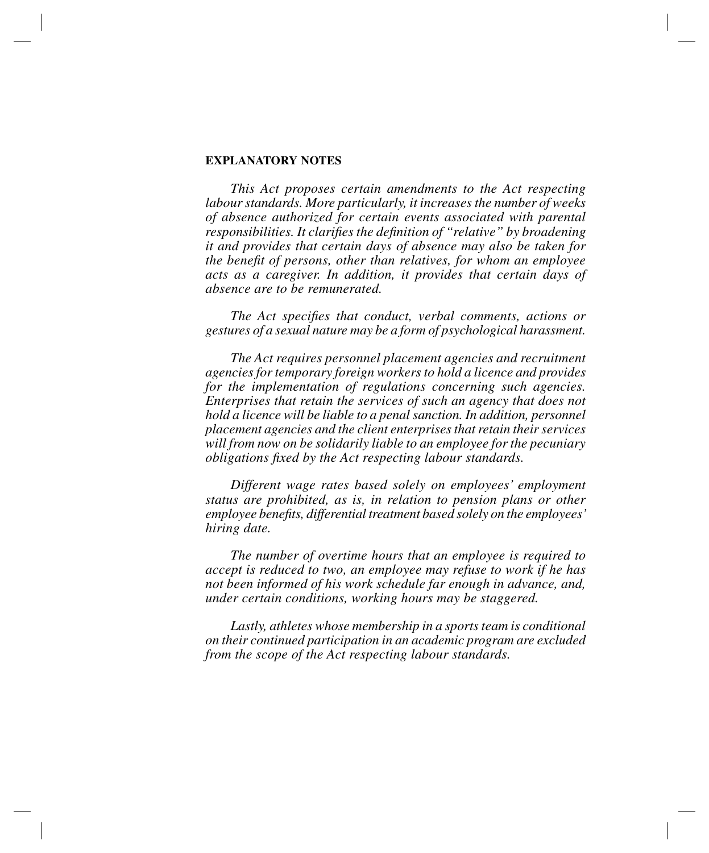# **EXPLANATORY NOTES**

*This Act proposes certain amendments to the Act respecting labour standards. More particularly, it increases the number of weeks of absence authorized for certain events associated with parental responsibilities. It clarifies the definition of "relative" by broadening it and provides that certain days of absence may also be taken for the benefit of persons, other than relatives, for whom an employee acts as a caregiver. In addition, it provides that certain days of absence are to be remunerated.*

*The Act specifies that conduct, verbal comments, actions or gestures of a sexual nature may be a form of psychological harassment.*

*The Act requires personnel placement agencies and recruitment agencies for temporary foreign workers to hold a licence and provides for the implementation of regulations concerning such agencies. Enterprises that retain the services of such an agency that does not hold a licence will be liable to a penal sanction. In addition, personnel placement agencies and the client enterprises that retain their services will from now on be solidarily liable to an employee for the pecuniary obligations fixed by the Act respecting labour standards.*

*Different wage rates based solely on employees' employment status are prohibited, as is, in relation to pension plans or other employee benefits, differential treatment based solely on the employees' hiring date.*

*The number of overtime hours that an employee is required to accept is reduced to two, an employee may refuse to work if he has not been informed of his work schedule far enough in advance, and, under certain conditions, working hours may be staggered.*

*Lastly, athletes whose membership in a sports team is conditional on their continued participation in an academic program are excluded from the scope of the Act respecting labour standards.*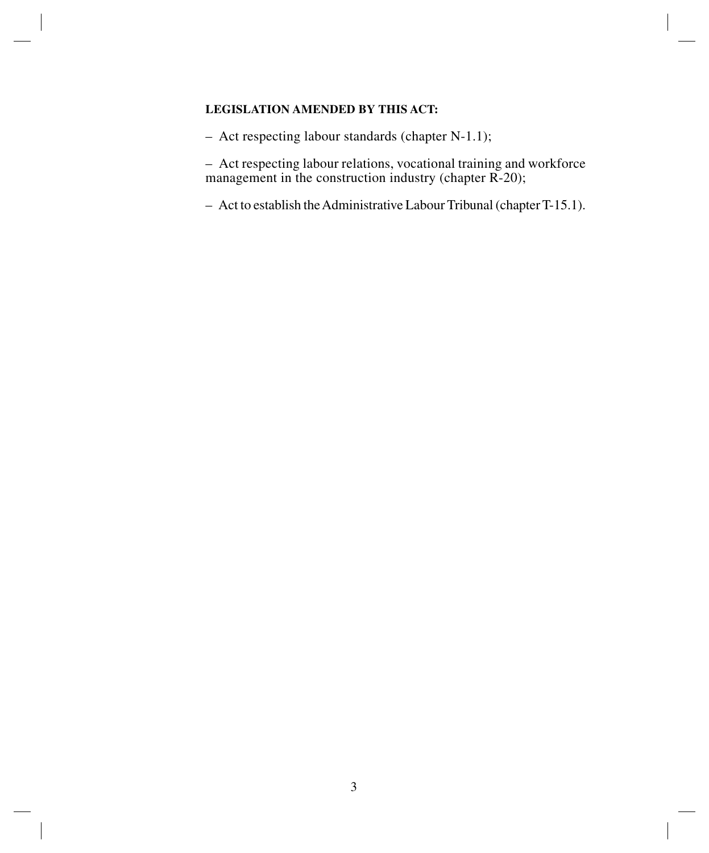# **LEGISLATION AMENDED BY THIS ACT:**

– Act respecting labour standards (chapter N-1.1);

– Act respecting labour relations, vocational training and workforce management in the construction industry (chapter R-20);

– Act to establish the Administrative Labour Tribunal (chapterT-15.1).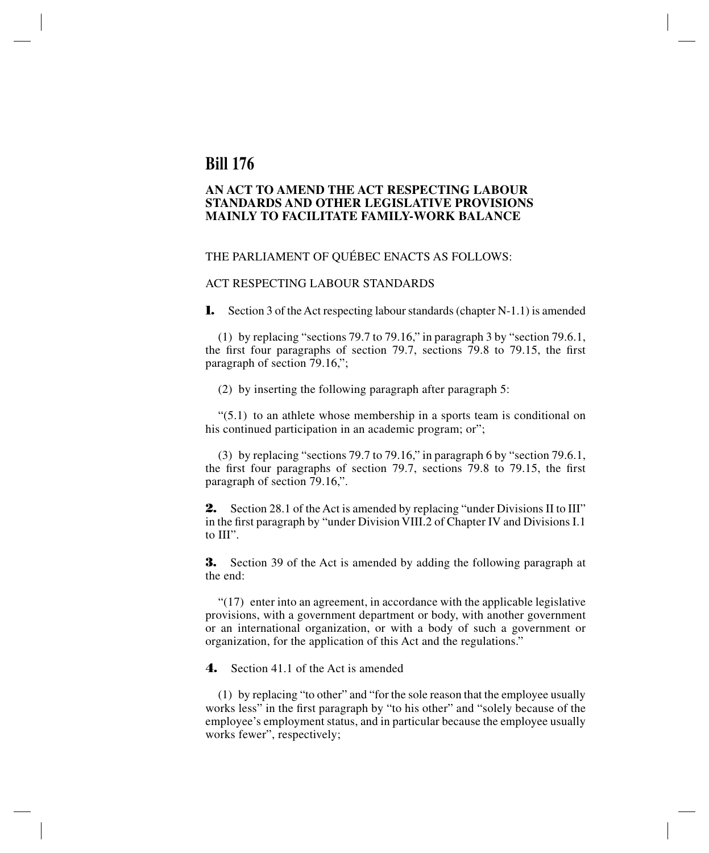# **Bill 176**

# **AN ACT TO AMEND THE ACT RESPECTING LABOUR STANDARDS AND OTHER LEGISLATIVE PROVISIONS MAINLY TO FACILITATE FAMILY-WORK BALANCE**

# THE PARLIAMENT OF QUÉBEC ENACTS AS FOLLOWS:

#### ACT RESPECTING LABOUR STANDARDS

**1.** Section 3 of the Act respecting labour standards (chapter N-1.1) is amended

(1) by replacing "sections 79.7 to 79.16," in paragraph 3 by "section 79.6.1, the first four paragraphs of section 79.7, sections 79.8 to 79.15, the first paragraph of section 79.16,";

(2) by inserting the following paragraph after paragraph 5:

 $(5.1)$  to an athlete whose membership in a sports team is conditional on his continued participation in an academic program; or";

(3) by replacing "sections 79.7 to 79.16," in paragraph 6 by "section 79.6.1, the first four paragraphs of section 79.7, sections 79.8 to 79.15, the first paragraph of section 79.16,".

**2.** Section 28.1 of the Act is amended by replacing "under Divisions II to III" in the first paragraph by "under Division VIII.2 of Chapter IV and Divisions I.1 to III".

**3.** Section 39 of the Act is amended by adding the following paragraph at the end:

"(17) enter into an agreement, in accordance with the applicable legislative provisions, with a government department or body, with another government or an international organization, or with a body of such a government or organization, for the application of this Act and the regulations."

**4.** Section 41.1 of the Act is amended

(1) by replacing "to other" and "for the sole reason that the employee usually works less" in the first paragraph by "to his other" and "solely because of the employee's employment status, and in particular because the employee usually works fewer", respectively;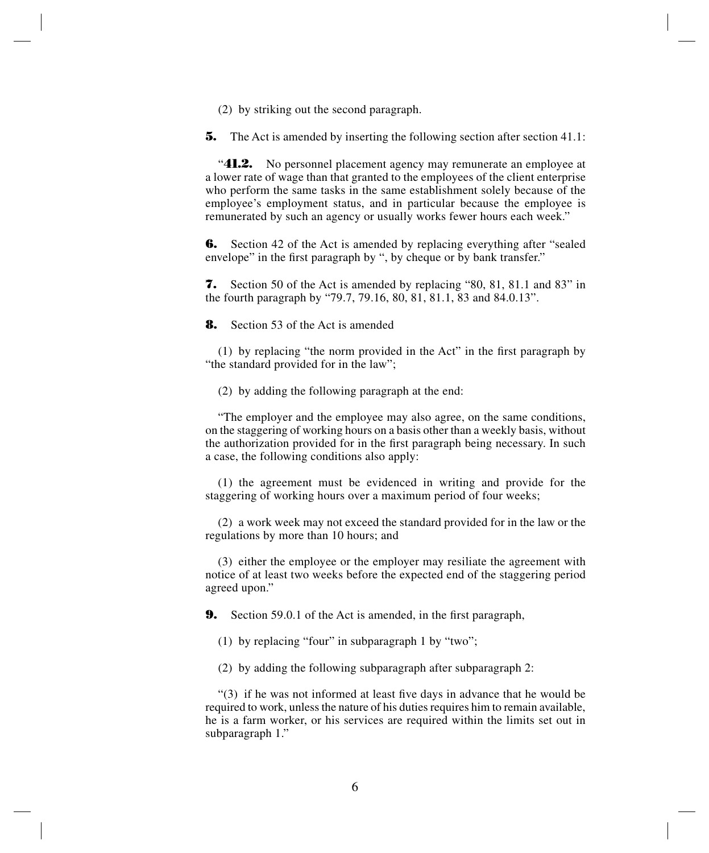(2) by striking out the second paragraph.

**5.** The Act is amended by inserting the following section after section 41.1:

"**41.2.** No personnel placement agency may remunerate an employee at a lower rate of wage than that granted to the employees of the client enterprise who perform the same tasks in the same establishment solely because of the employee's employment status, and in particular because the employee is remunerated by such an agency or usually works fewer hours each week."

**6.** Section 42 of the Act is amended by replacing everything after "sealed" envelope" in the first paragraph by ", by cheque or by bank transfer."

**7.** Section 50 of the Act is amended by replacing "80, 81, 81.1 and 83" in the fourth paragraph by "79.7, 79.16, 80, 81, 81.1, 83 and 84.0.13".

**8.** Section 53 of the Act is amended

(1) by replacing "the norm provided in the Act" in the first paragraph by "the standard provided for in the law";

(2) by adding the following paragraph at the end:

"The employer and the employee may also agree, on the same conditions, on the staggering of working hours on a basis other than a weekly basis, without the authorization provided for in the first paragraph being necessary. In such a case, the following conditions also apply:

(1) the agreement must be evidenced in writing and provide for the staggering of working hours over a maximum period of four weeks;

(2) a work week may not exceed the standard provided for in the law or the regulations by more than 10 hours; and

(3) either the employee or the employer may resiliate the agreement with notice of at least two weeks before the expected end of the staggering period agreed upon."

**9.** Section 59.0.1 of the Act is amended, in the first paragraph,

(1) by replacing "four" in subparagraph 1 by "two";

(2) by adding the following subparagraph after subparagraph 2:

"(3) if he was not informed at least five days in advance that he would be required to work, unless the nature of his duties requires him to remain available, he is a farm worker, or his services are required within the limits set out in subparagraph 1."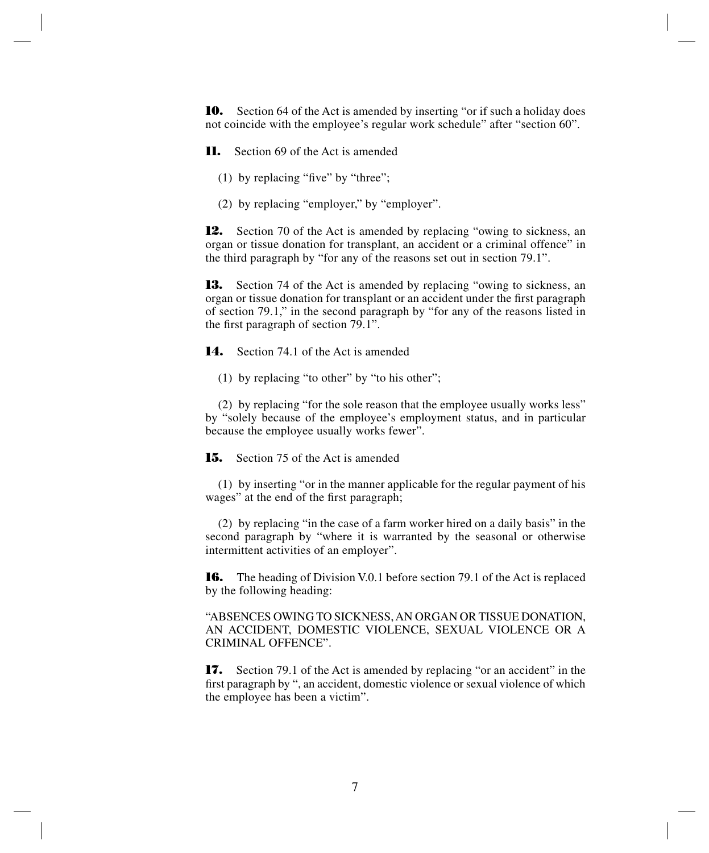**10.** Section 64 of the Act is amended by inserting "or if such a holiday does not coincide with the employee's regular work schedule" after "section 60".

**11.** Section 69 of the Act is amended

(1) by replacing "five" by "three";

(2) by replacing "employer," by "employer".

**12.** Section 70 of the Act is amended by replacing "owing to sickness, an organ or tissue donation for transplant, an accident or a criminal offence" in the third paragraph by "for any of the reasons set out in section 79.1".

**13.** Section 74 of the Act is amended by replacing "owing to sickness, an organ or tissue donation for transplant or an accident under the first paragraph of section 79.1," in the second paragraph by "for any of the reasons listed in the first paragraph of section 79.1".

**14.** Section 74.1 of the Act is amended

(1) by replacing "to other" by "to his other";

(2) by replacing "for the sole reason that the employee usually works less" by "solely because of the employee's employment status, and in particular because the employee usually works fewer".

**15.** Section 75 of the Act is amended

(1) by inserting "or in the manner applicable for the regular payment of his wages" at the end of the first paragraph;

(2) by replacing "in the case of a farm worker hired on a daily basis" in the second paragraph by "where it is warranted by the seasonal or otherwise intermittent activities of an employer".

**16.** The heading of Division V.0.1 before section 79.1 of the Act is replaced by the following heading:

"ABSENCES OWING TO SICKNESS, AN ORGAN OR TISSUE DONATION, AN ACCIDENT, DOMESTIC VIOLENCE, SEXUAL VIOLENCE OR A CRIMINAL OFFENCE".

**17.** Section 79.1 of the Act is amended by replacing "or an accident" in the first paragraph by ", an accident, domestic violence or sexual violence of which the employee has been a victim".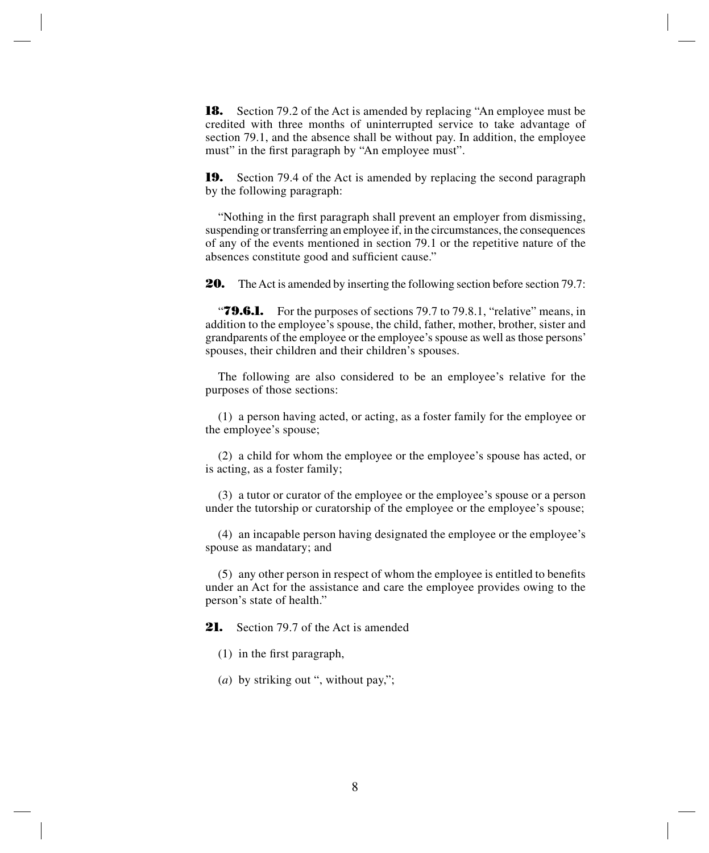**18.** Section 79.2 of the Act is amended by replacing "An employee must be credited with three months of uninterrupted service to take advantage of section 79.1, and the absence shall be without pay. In addition, the employee must" in the first paragraph by "An employee must".

**19.** Section 79.4 of the Act is amended by replacing the second paragraph by the following paragraph:

"Nothing in the first paragraph shall prevent an employer from dismissing, suspending or transferring an employee if, in the circumstances, the consequences of any of the events mentioned in section 79.1 or the repetitive nature of the absences constitute good and sufficient cause."

**20.** The Act is amended by inserting the following section before section 79.7:

*T***9.6.1.** For the purposes of sections 79.7 to 79.8.1, "relative" means, in addition to the employee's spouse, the child, father, mother, brother, sister and grandparents of the employee or the employee's spouse as well as those persons' spouses, their children and their children's spouses.

The following are also considered to be an employee's relative for the purposes of those sections:

(1) a person having acted, or acting, as a foster family for the employee or the employee's spouse;

(2) a child for whom the employee or the employee's spouse has acted, or is acting, as a foster family;

(3) a tutor or curator of the employee or the employee's spouse or a person under the tutorship or curatorship of the employee or the employee's spouse;

(4) an incapable person having designated the employee or the employee's spouse as mandatary; and

(5) any other person in respect of whom the employee is entitled to benefits under an Act for the assistance and care the employee provides owing to the person's state of health."

21. Section 79.7 of the Act is amended

- (1) in the first paragraph,
- (*a*) by striking out ", without pay,";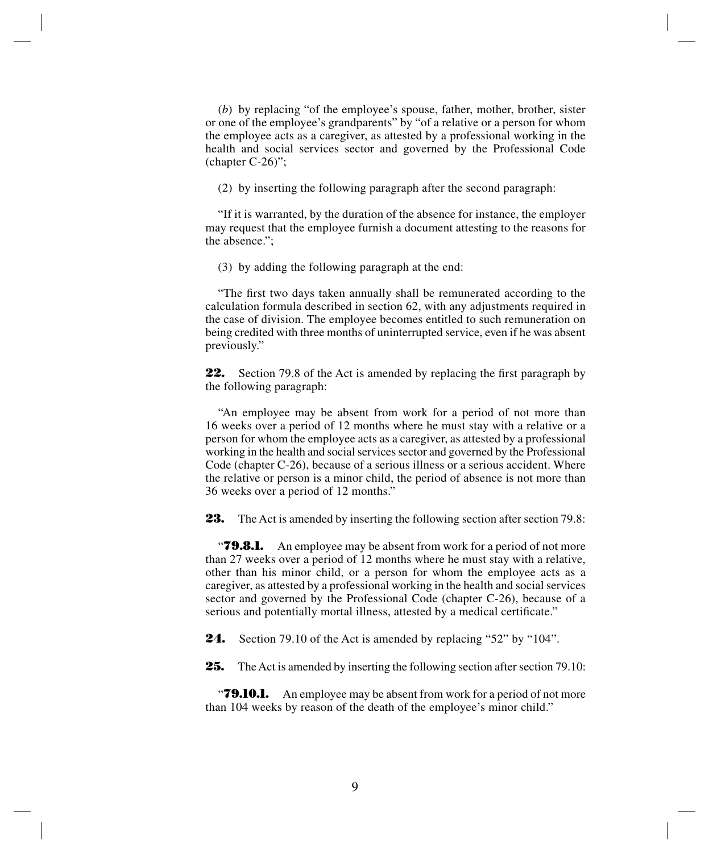(*b*) by replacing "of the employee's spouse, father, mother, brother, sister or one of the employee's grandparents" by "of a relative or a person for whom the employee acts as a caregiver, as attested by a professional working in the health and social services sector and governed by the Professional Code (chapter C-26)";

(2) by inserting the following paragraph after the second paragraph:

"If it is warranted, by the duration of the absence for instance, the employer may request that the employee furnish a document attesting to the reasons for the absence.";

(3) by adding the following paragraph at the end:

"The first two days taken annually shall be remunerated according to the calculation formula described in section 62, with any adjustments required in the case of division. The employee becomes entitled to such remuneration on being credited with three months of uninterrupted service, even if he was absent previously."

**22.** Section 79.8 of the Act is amended by replacing the first paragraph by the following paragraph:

"An employee may be absent from work for a period of not more than 16 weeks over a period of 12 months where he must stay with a relative or a person for whom the employee acts as a caregiver, as attested by a professional working in the health and social services sector and governed by the Professional Code (chapter C-26), because of a serious illness or a serious accident. Where the relative or person is a minor child, the period of absence is not more than 36 weeks over a period of 12 months."

**23.** The Act is amended by inserting the following section after section 79.8:

*T***9.8.1.** An employee may be absent from work for a period of not more than 27 weeks over a period of 12 months where he must stay with a relative, other than his minor child, or a person for whom the employee acts as a caregiver, as attested by a professional working in the health and social services sector and governed by the Professional Code (chapter C-26), because of a serious and potentially mortal illness, attested by a medical certificate."

**24.** Section 79.10 of the Act is amended by replacing "52" by "104".

**25.** The Act is amended by inserting the following section after section 79.10:

**79.10.1.** An employee may be absent from work for a period of not more than 104 weeks by reason of the death of the employee's minor child."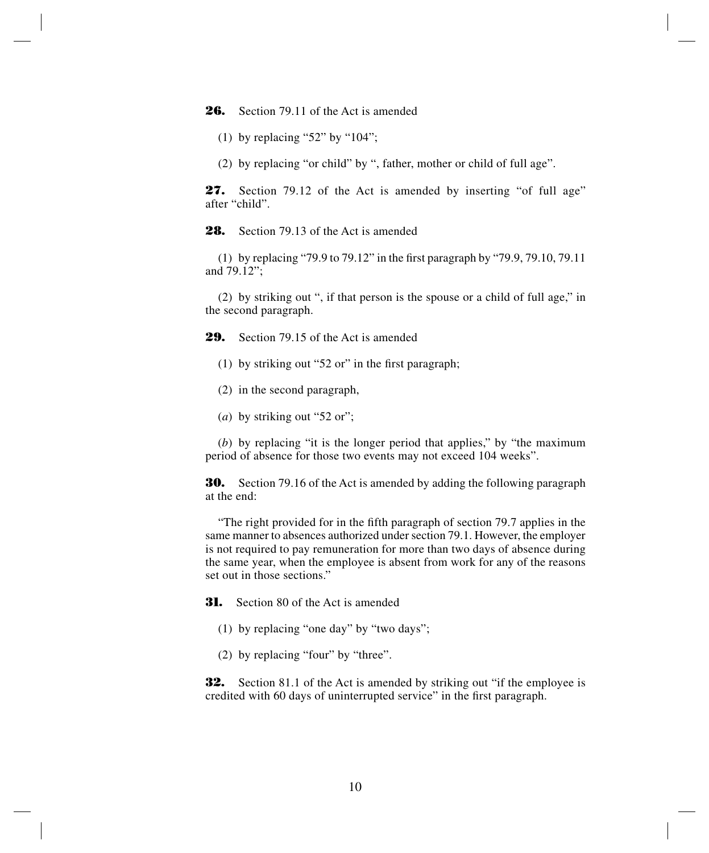**26.** Section 79.11 of the Act is amended

(1) by replacing "52" by " $104$ ";

(2) by replacing "or child" by ", father, mother or child of full age".

**27.** Section 79.12 of the Act is amended by inserting "of full age" after "child".

**28.** Section 79.13 of the Act is amended

(1) by replacing "79.9 to 79.12" in the first paragraph by "79.9, 79.10, 79.11 and 79.12";

(2) by striking out ", if that person is the spouse or a child of full age," in the second paragraph.

**29.** Section 79.15 of the Act is amended

- (1) by striking out "52 or" in the first paragraph;
- (2) in the second paragraph,
- (*a*) by striking out "52 or";

(*b*) by replacing "it is the longer period that applies," by "the maximum period of absence for those two events may not exceed 104 weeks".

**30.** Section 79.16 of the Act is amended by adding the following paragraph at the end:

"The right provided for in the fifth paragraph of section 79.7 applies in the same manner to absences authorized under section 79.1. However, the employer is not required to pay remuneration for more than two days of absence during the same year, when the employee is absent from work for any of the reasons set out in those sections."

**31.** Section 80 of the Act is amended

- (1) by replacing "one day" by "two days";
- (2) by replacing "four" by "three".

**32.** Section 81.1 of the Act is amended by striking out "if the employee is credited with 60 days of uninterrupted service" in the first paragraph.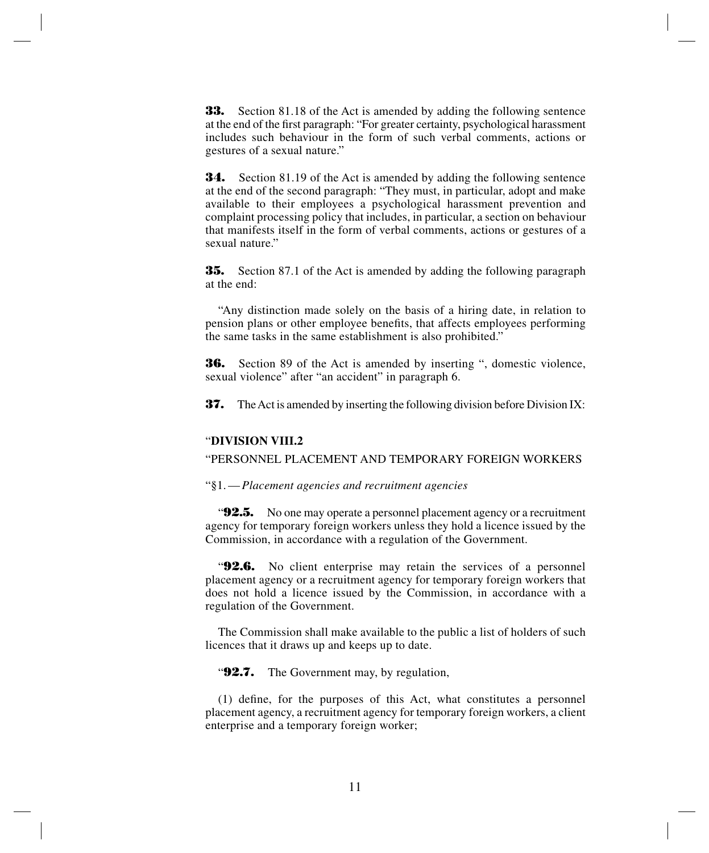**33.** Section 81.18 of the Act is amended by adding the following sentence at the end of the first paragraph: "For greater certainty, psychological harassment includes such behaviour in the form of such verbal comments, actions or gestures of a sexual nature."

**34.** Section 81.19 of the Act is amended by adding the following sentence at the end of the second paragraph: "They must, in particular, adopt and make available to their employees a psychological harassment prevention and complaint processing policy that includes, in particular, a section on behaviour that manifests itself in the form of verbal comments, actions or gestures of a sexual nature."

**35.** Section 87.1 of the Act is amended by adding the following paragraph at the end:

"Any distinction made solely on the basis of a hiring date, in relation to pension plans or other employee benefits, that affects employees performing the same tasks in the same establishment is also prohibited."

**36.** Section 89 of the Act is amended by inserting ", domestic violence, sexual violence" after "an accident" in paragraph 6.

**37.** The Act is amended by inserting the following division before Division IX:

#### "**DIVISION VIII.2**

"PERSONNEL PLACEMENT AND TEMPORARY FOREIGN WORKERS

"§1.—*Placement agencies and recruitment agencies*

"**92.5.** No one may operate a personnel placement agency or a recruitment agency for temporary foreign workers unless they hold a licence issued by the Commission, in accordance with a regulation of the Government.

"**92.6.** No client enterprise may retain the services of a personnel placement agency or a recruitment agency for temporary foreign workers that does not hold a licence issued by the Commission, in accordance with a regulation of the Government.

The Commission shall make available to the public a list of holders of such licences that it draws up and keeps up to date.

"**92.7.** The Government may, by regulation,

(1) define, for the purposes of this Act, what constitutes a personnel placement agency, a recruitment agency for temporary foreign workers, a client enterprise and a temporary foreign worker;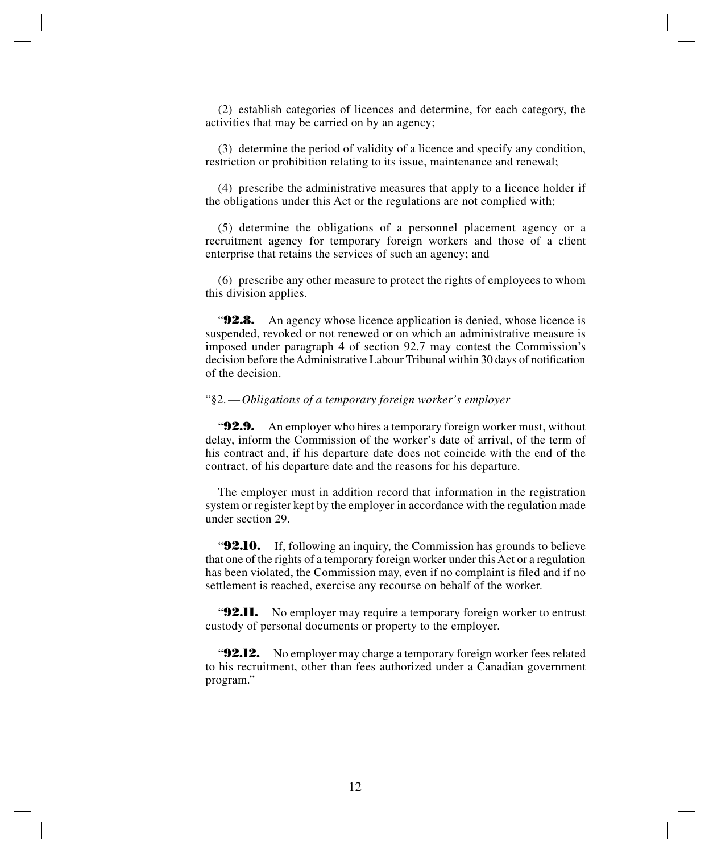(2) establish categories of licences and determine, for each category, the activities that may be carried on by an agency;

(3) determine the period of validity of a licence and specify any condition, restriction or prohibition relating to its issue, maintenance and renewal;

(4) prescribe the administrative measures that apply to a licence holder if the obligations under this Act or the regulations are not complied with;

(5) determine the obligations of a personnel placement agency or a recruitment agency for temporary foreign workers and those of a client enterprise that retains the services of such an agency; and

(6) prescribe any other measure to protect the rights of employees to whom this division applies.

**92.8.** An agency whose licence application is denied, whose licence is suspended, revoked or not renewed or on which an administrative measure is imposed under paragraph 4 of section 92.7 may contest the Commission's decision before the Administrative Labour Tribunal within 30 days of notification of the decision.

#### "§2.—*Obligations of a temporary foreign worker's employer*

**92.9.** An employer who hires a temporary foreign worker must, without delay, inform the Commission of the worker's date of arrival, of the term of his contract and, if his departure date does not coincide with the end of the contract, of his departure date and the reasons for his departure.

The employer must in addition record that information in the registration system or register kept by the employer in accordance with the regulation made under section 29.

"**92.10.** If, following an inquiry, the Commission has grounds to believe that one of the rights of a temporary foreign worker under this Act or a regulation has been violated, the Commission may, even if no complaint is filed and if no settlement is reached, exercise any recourse on behalf of the worker.

**92.11.** No employer may require a temporary foreign worker to entrust custody of personal documents or property to the employer.

"**92.12.** No employer may charge a temporary foreign worker fees related to his recruitment, other than fees authorized under a Canadian government program."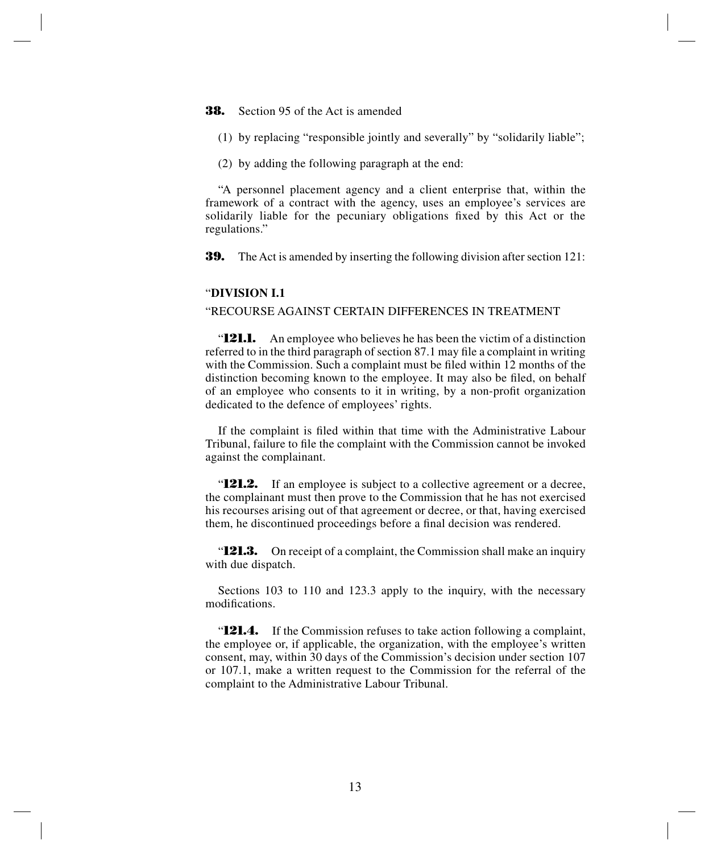#### **38.** Section 95 of the Act is amended

- (1) by replacing "responsible jointly and severally" by "solidarily liable";
- (2) by adding the following paragraph at the end:

"A personnel placement agency and a client enterprise that, within the framework of a contract with the agency, uses an employee's services are solidarily liable for the pecuniary obligations fixed by this Act or the regulations."

**39.** The Act is amended by inserting the following division after section 121:

## "**DIVISION I.1**

#### "RECOURSE AGAINST CERTAIN DIFFERENCES IN TREATMENT

**121.1.** An employee who believes he has been the victim of a distinction referred to in the third paragraph of section 87.1 may file a complaint in writing with the Commission. Such a complaint must be filed within 12 months of the distinction becoming known to the employee. It may also be filed, on behalf of an employee who consents to it in writing, by a non-profit organization dedicated to the defence of employees' rights.

If the complaint is filed within that time with the Administrative Labour Tribunal, failure to file the complaint with the Commission cannot be invoked against the complainant.

"**121.2.** If an employee is subject to a collective agreement or a decree, the complainant must then prove to the Commission that he has not exercised his recourses arising out of that agreement or decree, or that, having exercised them, he discontinued proceedings before a final decision was rendered.

"**121.3.** On receipt of a complaint, the Commission shall make an inquiry with due dispatch.

Sections 103 to 110 and 123.3 apply to the inquiry, with the necessary modifications.

"**121.4.** If the Commission refuses to take action following a complaint, the employee or, if applicable, the organization, with the employee's written consent, may, within 30 days of the Commission's decision under section 107 or 107.1, make a written request to the Commission for the referral of the complaint to the Administrative Labour Tribunal.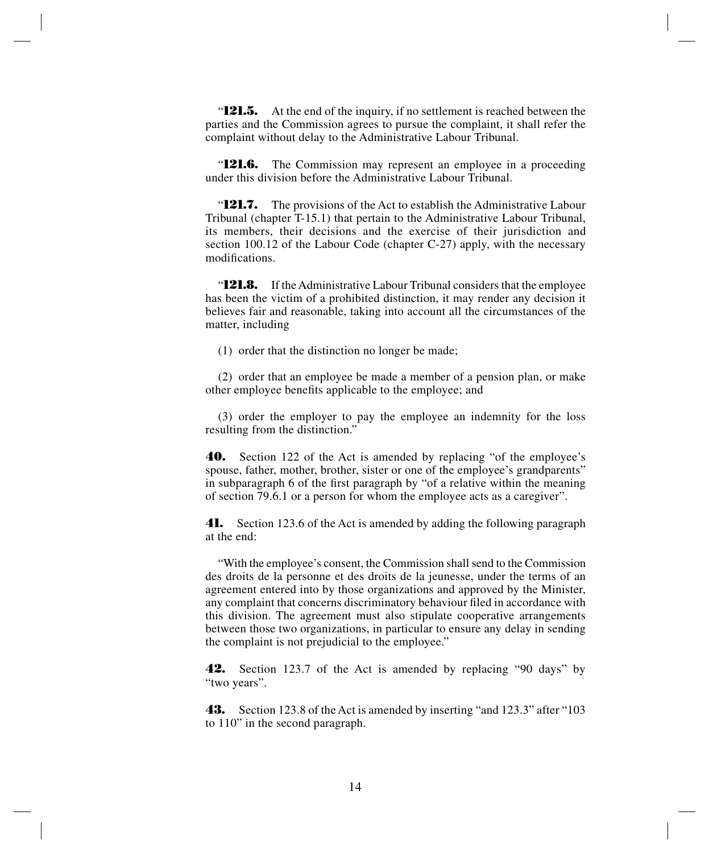"**121.5.** At the end of the inquiry, if no settlement is reached between the parties and the Commission agrees to pursue the complaint, it shall refer the complaint without delay to the Administrative Labour Tribunal.

"**121.6.** The Commission may represent an employee in a proceeding under this division before the Administrative Labour Tribunal.

"**121.7.** The provisions of the Act to establish the Administrative Labour Tribunal (chapter T-15.1) that pertain to the Administrative Labour Tribunal, its members, their decisions and the exercise of their jurisdiction and section 100.12 of the Labour Code (chapter C-27) apply, with the necessary modifications.

"**121.8.** If the Administrative Labour Tribunal considers that the employee has been the victim of a prohibited distinction, it may render any decision it believes fair and reasonable, taking into account all the circumstances of the matter, including

(1) order that the distinction no longer be made;

(2) order that an employee be made a member of a pension plan, or make other employee benefits applicable to the employee; and

(3) order the employer to pay the employee an indemnity for the loss resulting from the distinction."

**40.** Section 122 of the Act is amended by replacing "of the employee's spouse, father, mother, brother, sister or one of the employee's grandparents" in subparagraph 6 of the first paragraph by "of a relative within the meaning of section 79.6.1 or a person for whom the employee acts as a caregiver".

**41.** Section 123.6 of the Act is amended by adding the following paragraph at the end:

"With the employee's consent, the Commission shall send to the Commission des droits de la personne et des droits de la jeunesse, under the terms of an agreement entered into by those organizations and approved by the Minister, any complaint that concerns discriminatory behaviour filed in accordance with this division. The agreement must also stipulate cooperative arrangements between those two organizations, in particular to ensure any delay in sending the complaint is not prejudicial to the employee."

**42.** Section 123.7 of the Act is amended by replacing "90 days" by "two years".

**43.** Section 123.8 of the Act is amended by inserting "and 123.3" after "103 to 110" in the second paragraph.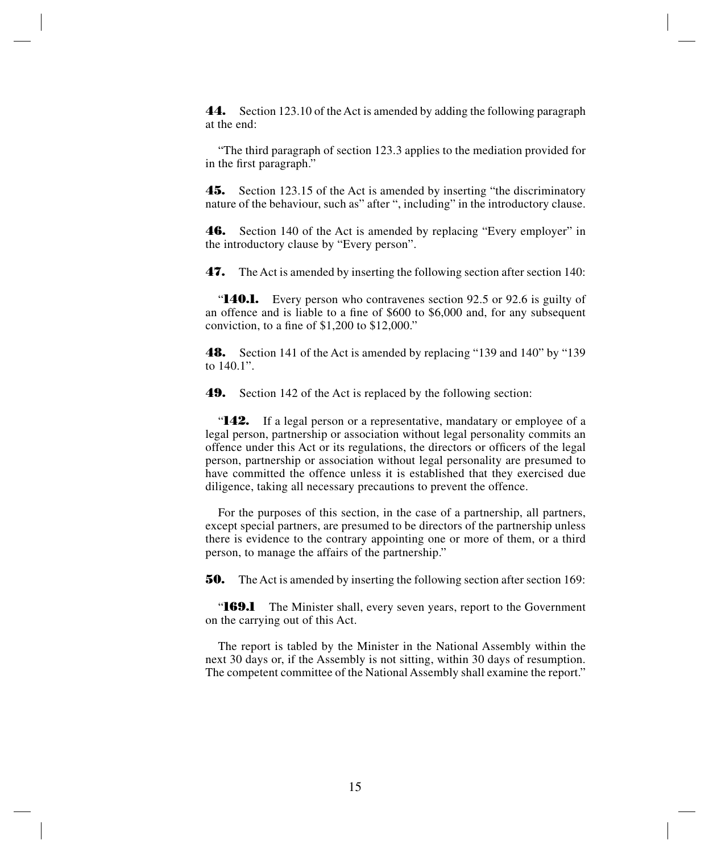**44.** Section 123.10 of the Act is amended by adding the following paragraph at the end:

"The third paragraph of section 123.3 applies to the mediation provided for in the first paragraph."

**45.** Section 123.15 of the Act is amended by inserting "the discriminatory nature of the behaviour, such as" after ", including" in the introductory clause.

**46.** Section 140 of the Act is amended by replacing "Every employer" in the introductory clause by "Every person".

**47.** The Act is amended by inserting the following section after section 140:

"**140.1.** Every person who contravenes section 92.5 or 92.6 is guilty of an offence and is liable to a fine of \$600 to \$6,000 and, for any subsequent conviction, to a fine of \$1,200 to \$12,000."

**48.** Section 141 of the Act is amended by replacing "139 and 140" by "139 to 140.1".

**49.** Section 142 of the Act is replaced by the following section:

"**142.** If a legal person or a representative, mandatary or employee of a legal person, partnership or association without legal personality commits an offence under this Act or its regulations, the directors or officers of the legal person, partnership or association without legal personality are presumed to have committed the offence unless it is established that they exercised due diligence, taking all necessary precautions to prevent the offence.

For the purposes of this section, in the case of a partnership, all partners, except special partners, are presumed to be directors of the partnership unless there is evidence to the contrary appointing one or more of them, or a third person, to manage the affairs of the partnership."

**50.** The Act is amended by inserting the following section after section 169:

"**169.1** The Minister shall, every seven years, report to the Government on the carrying out of this Act.

The report is tabled by the Minister in the National Assembly within the next 30 days or, if the Assembly is not sitting, within 30 days of resumption. The competent committee of the National Assembly shall examine the report."